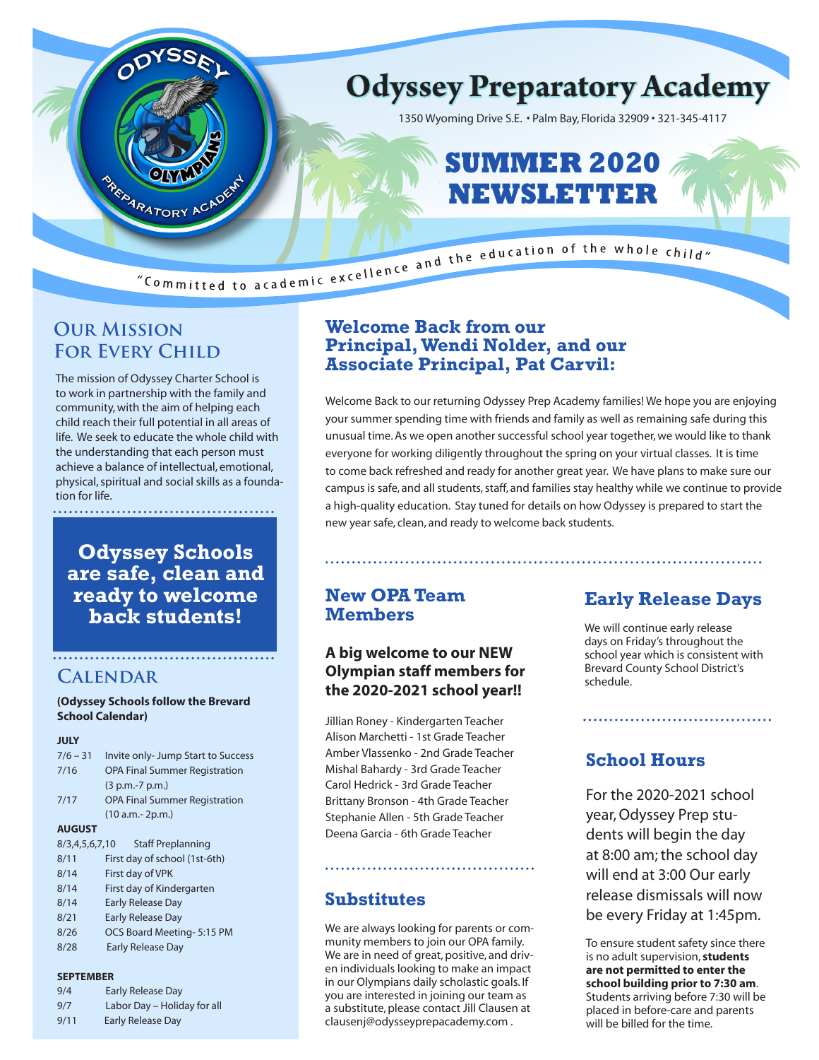

## **Our Mission FOR EVERY CHILD**

The mission of Odyssey Charter School is to work in partnership with the family and community, with the aim of helping each child reach their full potential in all areas of life. We seek to educate the whole child with the understanding that each person must achieve a balance of intellectual, emotional, physical, spiritual and social skills as a foundation for life.

**Odyssey Schools are safe, clean and ready to welcome back students!**

## **Calendar**

**(Odyssey Schools follow the Brevard School Calendar)**

#### **JULY**

|               | $7/6 - 31$     | Invite only-Jump Start to Success    |  |  |
|---------------|----------------|--------------------------------------|--|--|
|               | 7/16           | <b>OPA Final Summer Registration</b> |  |  |
|               |                | $(3 p.m.-7 p.m.)$                    |  |  |
|               | 7/17           | <b>OPA Final Summer Registration</b> |  |  |
|               |                | $(10 a.m.-2p.m.)$                    |  |  |
| <b>AUGUST</b> |                |                                      |  |  |
|               | 8/3.4.5.6.7.10 | <b>Staff Preplanning</b>             |  |  |
|               | 0/11           | $First down of cohead (1-t6)$        |  |  |

#### 8/11 First day of school (1st-6th) 8/14 First day of VPK 8/14 First day of Kindergarten 8/14 Early Release Day

- 8/21 Early Release Day
- 8/26 OCS Board Meeting- 5:15 PM
- 8/28 Early Release Day

#### **SEPTEMBER**

| 9/4 | Early Release Day           |
|-----|-----------------------------|
| 9/7 | Labor Day - Holiday for all |

| $\frac{91}{1}$ | Labor Day - Holiday I |
|----------------|-----------------------|
| 9/11           | Early Release Day     |

### **Welcome Back from our Principal, Wendi Nolder, and our Associate Principal, Pat Carvil:**

Welcome Back to our returning Odyssey Prep Academy families! We hope you are enjoying your summer spending time with friends and family as well as remaining safe during this unusual time. As we open another successful school year together, we would like to thank everyone for working diligently throughout the spring on your virtual classes. It is time to come back refreshed and ready for another great year. We have plans to make sure our campus is safe, and all students, staff, and families stay healthy while we continue to provide a high-quality education. Stay tuned for details on how Odyssey is prepared to start the new year safe, clean, and ready to welcome back students.

### **New OPA Team Members**

### **A big welcome to our NEW Olympian staff members for the 2020-2021 school year!!**

Jillian Roney - Kindergarten Teacher Alison Marchetti - 1st Grade Teacher Amber Vlassenko - 2nd Grade Teacher Mishal Bahardy - 3rd Grade Teacher Carol Hedrick - 3rd Grade Teacher Brittany Bronson - 4th Grade Teacher Stephanie Allen - 5th Grade Teacher Deena Garcia - 6th Grade Teacher

### **Substitutes**

We are always looking for parents or community members to join our OPA family. We are in need of great, positive, and driven individuals looking to make an impact in our Olympians daily scholastic goals. If you are interested in joining our team as a substitute, please contact Jill Clausen at clausenj@odysseyprepacademy.com .

# **Early Release Days**

We will continue early release days on Friday's throughout the school year which is consistent with Brevard County School District's schedule.

## **School Hours**

For the 2020-2021 school year, Odyssey Prep students will begin the day at 8:00 am; the school day will end at 3:00 Our early release dismissals will now be every Friday at 1:45pm.

To ensure student safety since there is no adult supervision, **students are not permitted to enter the school building prior to 7:30 am**. Students arriving before 7:30 will be placed in before-care and parents will be billed for the time.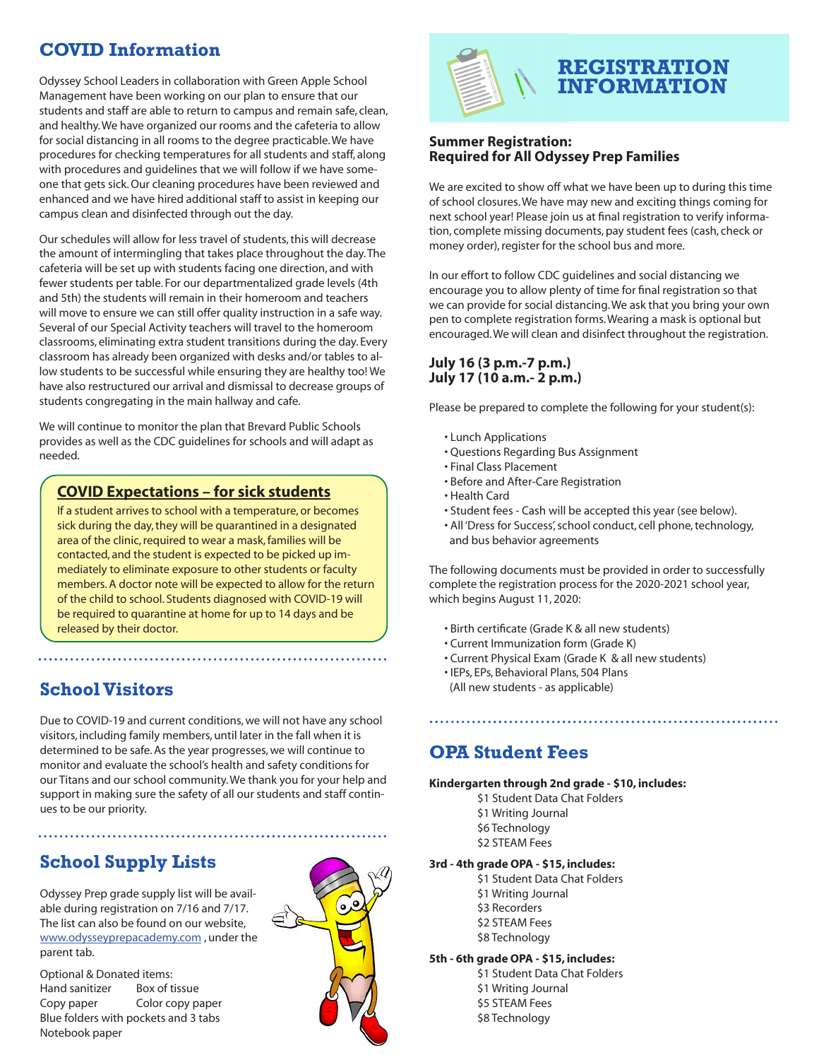# **COVID Information**

Odyssey School Leaders in collaboration with Green Apple School Management have been working on our plan to ensure that our students and staff are able to return to campus and remain safe, clean, and healthy. We have organized our rooms and the cafeteria to allow for social distancing in all rooms to the degree practicable. We have procedures for checking temperatures for all students and staff, along with procedures and guidelines that we will follow if we have someone that gets sick. Our cleaning procedures have been reviewed and enhanced and we have hired additional staff to assist in keeping our campus clean and disinfected through out the day.

Our schedules will allow for less travel of students, this will decrease the amount of intermingling that takes place throughout the day. The cafeteria will be set up with students facing one direction, and with fewer students per table. For our departmentalized grade levels (4th and 5th) the students will remain in their homeroom and teachers will move to ensure we can still offer quality instruction in a safe way. Several of our Special Activity teachers will travel to the homeroom classrooms, eliminating extra student transitions during the day. Every classroom has already been organized with desks and/or tables to allow students to be successful while ensuring they are healthy too! We have also restructured our arrival and dismissal to decrease groups of students congregating in the main hallway and cafe.

We will continue to monitor the plan that Brevard Public Schools provides as well as the CDC guidelines for schools and will adapt as needed.

### **COVID Expectations – for sick students**

If a student arrives to school with a temperature, or becomes sick during the day, they will be quarantined in a designated area of the clinic, required to wear a mask, families will be contacted, and the student is expected to be picked up immediately to eliminate exposure to other students or faculty members. A doctor note will be expected to allow for the return of the child to school. Students diagnosed with COVID-19 will be required to quarantine at home for up to 14 days and be released by their doctor.

## **School Visitors**

Due to COVID-19 and current conditions, we will not have any school visitors, including family members, until later in the fall when it is determined to be safe. As the year progresses, we will continue to monitor and evaluate the school's health and safety conditions for our Titans and our school community. We thank you for your help and support in making sure the safety of all our students and staff continues to be our priority.

# **School Supply Lists**

Odyssey Prep grade supply list will be available during registration on 7/16 and 7/17. The list can also be found on our website, www.odysseyprepacademy.com , under the parent tab.

Optional & Donated items: Hand sanitizer Box of tissue Copy paper Color copy paper Blue folders with pockets and 3 tabs Notebook paper





# **REGISTRATION INFORMATION**

#### **Summer Registration: Required for All Odyssey Prep Families**

We are excited to show off what we have been up to during this time of school closures. We have may new and exciting things coming for next school year! Please join us at final registration to verify information, complete missing documents, pay student fees (cash, check or money order), register for the school bus and more.

In our effort to follow CDC guidelines and social distancing we encourage you to allow plenty of time for final registration so that we can provide for social distancing. We ask that you bring your own pen to complete registration forms. Wearing a mask is optional but encouraged. We will clean and disinfect throughout the registration.

#### **July 16 (3 p.m.-7 p.m.) July 17 (10 a.m.- 2 p.m.)**

Please be prepared to complete the following for your student(s):

- Lunch Applications
- Questions Regarding Bus Assignment
- Final Class Placement
- Before and After-Care Registration
- Health Card
- Student fees Cash will be accepted this year (see below).
- All 'Dress for Success', school conduct, cell phone, technology, and bus behavior agreements

The following documents must be provided in order to successfully complete the registration process for the 2020-2021 school year, which begins August 11, 2020:

- Birth certificate (Grade K & all new students)
- Current Immunization form (Grade K)
- Current Physical Exam (Grade K & all new students)
- IEPs, EPs, Behavioral Plans, 504 Plans (All new students - as applicable)

## **OPA Student Fees**

#### **Kindergarten through 2nd grade - \$10, includes:**

- \$1 Student Data Chat Folders \$1 Writing Journal \$6 Technology
- \$2 STEAM Fees

#### **3rd - 4th grade OPA - \$15, includes:**

- \$1 Student Data Chat Folders
- \$1 Writing Journal
- **\$3 Recorders**
- \$2 STEAM Fees
- \$8 Technology

#### **5th - 6th grade OPA - \$15, includes:**

\$1 Student Data Chat Folders \$1 Writing Journal \$5 STEAM Fees \$8 Technology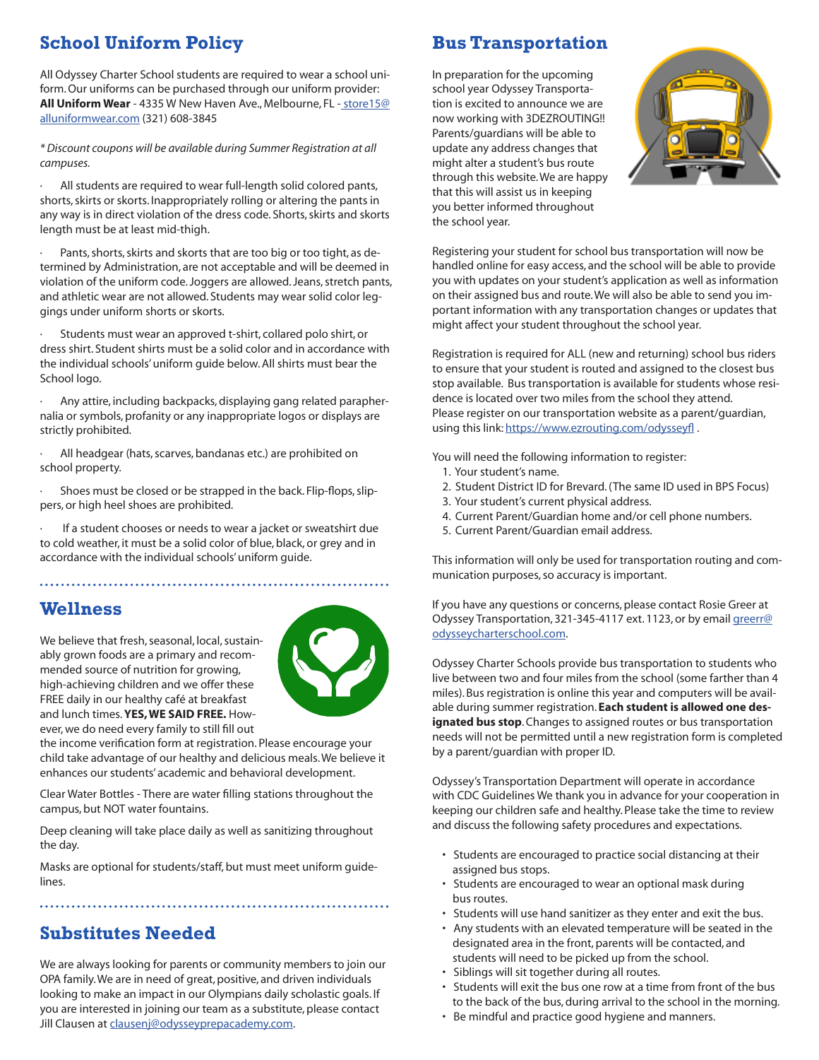# **School Uniform Policy**

All Odyssey Charter School students are required to wear a school uniform. Our uniforms can be purchased through our uniform provider: **All Uniform Wear** - 4335 W New Haven Ave., Melbourne, FL - store15@ alluniformwear.com (321) 608-3845

*\* Discount coupons will be available during Summer Registration at all campuses.* 

All students are required to wear full-length solid colored pants, shorts, skirts or skorts. Inappropriately rolling or altering the pants in any way is in direct violation of the dress code. Shorts, skirts and skorts length must be at least mid-thigh.

Pants, shorts, skirts and skorts that are too big or too tight, as determined by Administration, are not acceptable and will be deemed in violation of the uniform code. Joggers are allowed. Jeans, stretch pants, and athletic wear are not allowed. Students may wear solid color leggings under uniform shorts or skorts.

Students must wear an approved t-shirt, collared polo shirt, or dress shirt. Student shirts must be a solid color and in accordance with the individual schools' uniform guide below. All shirts must bear the School logo.

· Any attire, including backpacks, displaying gang related paraphernalia or symbols, profanity or any inappropriate logos or displays are strictly prohibited.

All headgear (hats, scarves, bandanas etc.) are prohibited on school property.

Shoes must be closed or be strapped in the back. Flip-flops, slippers, or high heel shoes are prohibited.

If a student chooses or needs to wear a jacket or sweatshirt due to cold weather, it must be a solid color of blue, black, or grey and in accordance with the individual schools' uniform guide.

### **Wellness**

We believe that fresh, seasonal, local, sustainably grown foods are a primary and recommended source of nutrition for growing, high-achieving children and we offer these FREE daily in our healthy café at breakfast and lunch times. **YES, WE SAID FREE.** However, we do need every family to still fill out



the income verification form at registration. Please encourage your child take advantage of our healthy and delicious meals. We believe it enhances our students' academic and behavioral development.

Clear Water Bottles - There are water filling stations throughout the campus, but NOT water fountains.

Deep cleaning will take place daily as well as sanitizing throughout the day.

Masks are optional for students/staff, but must meet uniform guidelines.

## **Substitutes Needed**

We are always looking for parents or community members to join our OPA family. We are in need of great, positive, and driven individuals looking to make an impact in our Olympians daily scholastic goals. If you are interested in joining our team as a substitute, please contact Jill Clausen at clausenj@odysseyprepacademy.com.

# **Bus Transportation**

In preparation for the upcoming school year Odyssey Transportation is excited to announce we are now working with 3DEZROUTING!! Parents/guardians will be able to update any address changes that might alter a student's bus route through this website. We are happy that this will assist us in keeping you better informed throughout the school year.



Registering your student for school bus transportation will now be handled online for easy access, and the school will be able to provide you with updates on your student's application as well as information on their assigned bus and route. We will also be able to send you important information with any transportation changes or updates that might affect your student throughout the school year.

Registration is required for ALL (new and returning) school bus riders to ensure that your student is routed and assigned to the closest bus stop available. Bus transportation is available for students whose residence is located over two miles from the school they attend. Please register on our transportation website as a parent/guardian, using this link: https://www.ezrouting.com/odysseyfl.

You will need the following information to register:

- 1. Your student's name.
- 2. Student District ID for Brevard. (The same ID used in BPS Focus)
- 3. Your student's current physical address.
- 4. Current Parent/Guardian home and/or cell phone numbers.
- 5. Current Parent/Guardian email address.

This information will only be used for transportation routing and communication purposes, so accuracy is important.

If you have any questions or concerns, please contact Rosie Greer at Odyssey Transportation, 321-345-4117 ext. 1123, or by email greerr@ odysseycharterschool.com.

Odyssey Charter Schools provide bus transportation to students who live between two and four miles from the school (some farther than 4 miles). Bus registration is online this year and computers will be available during summer registration. **Each student is allowed one designated bus stop**. Changes to assigned routes or bus transportation needs will not be permitted until a new registration form is completed by a parent/guardian with proper ID.

Odyssey's Transportation Department will operate in accordance with CDC Guidelines We thank you in advance for your cooperation in keeping our children safe and healthy. Please take the time to review and discuss the following safety procedures and expectations.

- Students are encouraged to practice social distancing at their assigned bus stops.
- Students are encouraged to wear an optional mask during bus routes.
- Students will use hand sanitizer as they enter and exit the bus.
- Any students with an elevated temperature will be seated in the designated area in the front, parents will be contacted, and students will need to be picked up from the school.
- Siblings will sit together during all routes.
- Students will exit the bus one row at a time from front of the bus to the back of the bus, during arrival to the school in the morning.
- Be mindful and practice good hygiene and manners.